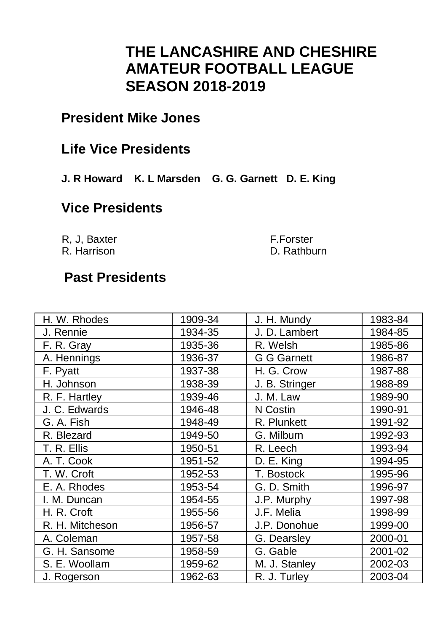## **THE LANCASHIRE AND CHESHIRE AMATEUR FOOTBALL LEAGUE SEASON 2018-2019**

### **President Mike Jones**

### **Life Vice Presidents**

**J. R Howard K. L Marsden G. G. Garnett D. E. King**

### **Vice Presidents**

R, J, Baxter R. Harrison F.Forster D. Rathburn

# **Past Presidents**

| H. W. Rhodes    | 1909-34 | J. H. Mundv    | 1983-84 |
|-----------------|---------|----------------|---------|
| J. Rennie       | 1934-35 | J. D. Lambert  | 1984-85 |
| F. R. Grav      | 1935-36 | R. Welsh       | 1985-86 |
| A. Hennings     | 1936-37 | G G Garnett    | 1986-87 |
| F. Pyatt        | 1937-38 | H. G. Crow     | 1987-88 |
| H. Johnson      | 1938-39 | J. B. Stringer | 1988-89 |
| R. F. Hartlev   | 1939-46 | J. M. Law      | 1989-90 |
| J. C. Edwards   | 1946-48 | N Costin       | 1990-91 |
| G. A. Fish      | 1948-49 | R. Plunkett    | 1991-92 |
| R. Blezard      | 1949-50 | G. Milburn     | 1992-93 |
| T. R. Ellis     | 1950-51 | R. Leech       | 1993-94 |
| A. T. Cook      | 1951-52 | D. E. King     | 1994-95 |
| T. W. Croft     | 1952-53 | T. Bostock     | 1995-96 |
| E. A. Rhodes    | 1953-54 | G. D. Smith    | 1996-97 |
| I. M. Duncan    | 1954-55 | J.P. Murphy    | 1997-98 |
| H. R. Croft     | 1955-56 | J.F. Melia     | 1998-99 |
| R. H. Mitcheson | 1956-57 | J.P. Donohue   | 1999-00 |
| A. Coleman      | 1957-58 | G. Dearslev    | 2000-01 |
| G. H. Sansome   | 1958-59 | G. Gable       | 2001-02 |
| S. E. Woollam   | 1959-62 | M. J. Stanley  | 2002-03 |
| J. Rogerson     | 1962-63 | R. J. Turley   | 2003-04 |